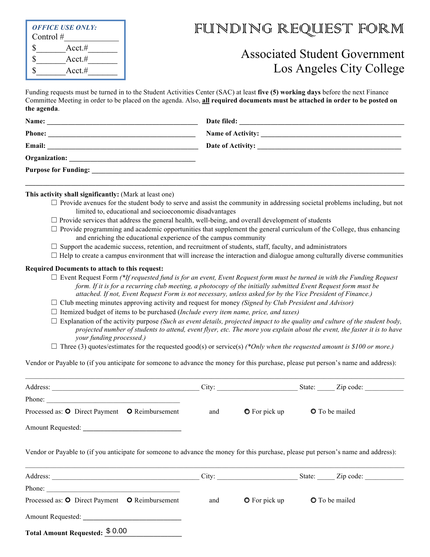| <b>OFFICE USE ONLY:</b><br>Control $#$ |            |  |  |
|----------------------------------------|------------|--|--|
|                                        | Acct.#     |  |  |
|                                        | Acct #     |  |  |
|                                        | $Acct. \#$ |  |  |

# FUNDING REQUEST FORM

## Associated Student Government Los Angeles City College

Funding requests must be turned in to the Student Activities Center (SAC) at least **five (5) working days** before the next Finance Committee Meeting in order to be placed on the agenda. Also, **all required documents must be attached in order to be posted on the agenda**.

| Name:                | Date filed:<br><u> 1989 - Jan Berlin, margaret amerikan beste beste beste beste beste beste beste beste beste beste beste beste</u> |  |
|----------------------|-------------------------------------------------------------------------------------------------------------------------------------|--|
| <b>Phone:</b>        |                                                                                                                                     |  |
| Email:               | Date of Activity:                                                                                                                   |  |
| <b>Organization:</b> |                                                                                                                                     |  |
|                      |                                                                                                                                     |  |
|                      |                                                                                                                                     |  |

**This activity shall significantly:** (Mark at least one)

- $\Box$  Provide avenues for the student body to serve and assist the community in addressing societal problems including, but not limited to, educational and socioeconomic disadvantages
- $\Box$  Provide services that address the general health, well-being, and overall development of students
- $\Box$  Provide programming and academic opportunities that supplement the general curriculum of the College, thus enhancing and enriching the educational experience of the campus community
- $\Box$  Support the academic success, retention, and recruitment of students, staff, faculty, and administrators
- $\Box$  Help to create a campus environment that will increase the interaction and dialogue among culturally diverse communities

#### **Required Documents to attach to this request:**

- $\Box$  Event Request Form  $*$ *If requested fund is for an event, Event Request form must be turned in with the Funding Request form. If it is for a recurring club meeting, a photocopy of the initially submitted Event Request form must be attached. If not, Event Request Form is not necessary, unless asked for by the Vice President of Finance.)*
- ☐ Club meeting minutes approving activity and request for money *(Signed by Club President and Advisor)*
- ☐ Itemized budget of items to be purchased (*Include every item name, price, and taxes)*
- $\Box$  Explanation of the activity purpose *(Such as event details, projected impact to the quality and culture of the student body, projected number of students to attend, event flyer, etc. The more you explain about the event, the faster it is to have your funding processed.)*
- $\Box$  Three (3) quotes/estimates for the requested good(s) or service(s)  $(*Only when the requested amount is $100 or more.)$

Vendor or Payable to (if you anticipate for someone to advance the money for this purchase, please put person's name and address):

|                                                                                                                                    |     |                                  | City: City: City: City: City: City: City: City: City: City: City: City: City: City: City: City: City: City: City: City: City: City: City: City: City: City: City: City: City: City: City: City: City: City: City: City: City: |
|------------------------------------------------------------------------------------------------------------------------------------|-----|----------------------------------|-------------------------------------------------------------------------------------------------------------------------------------------------------------------------------------------------------------------------------|
| Phone: $\qquad \qquad$                                                                                                             |     |                                  |                                                                                                                                                                                                                               |
| Processed as: O Direct Payment O Reimbursement                                                                                     | and | • O For pick up • O To be mailed |                                                                                                                                                                                                                               |
|                                                                                                                                    |     |                                  |                                                                                                                                                                                                                               |
| Vendor or Payable to (if you anticipate for someone to advance the money for this purchase, please put person's name and address): |     |                                  |                                                                                                                                                                                                                               |
|                                                                                                                                    |     |                                  | City: City: City: City: City: City: City: City: City: City: City: City: City: City: City: City: City: City: City: City: City: City: City: City: City: City: City: City: City: City: City: City: City: City: City: City: City: |
| Phone:                                                                                                                             |     |                                  |                                                                                                                                                                                                                               |
| Processed as: O Direct Payment O Reimbursement                                                                                     | and | $\bullet$ For pick up            | <b>O</b> To be mailed                                                                                                                                                                                                         |
| <b>Amount Requested:</b>                                                                                                           |     |                                  |                                                                                                                                                                                                                               |
| Total Amount Requested: \$0.00                                                                                                     |     |                                  |                                                                                                                                                                                                                               |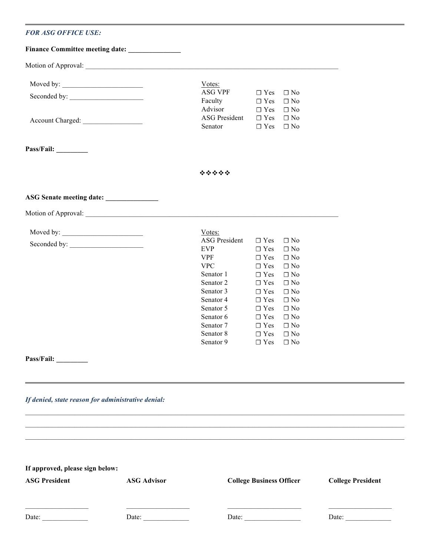### *FOR ASG OFFICE USE:*

|                                                                      | Finance Committee meeting date: _______________                                                                                                                                                                                |                                                                                                                                                                                        |                                                                                                                                                                                                                                                                                                                                                                |                          |
|----------------------------------------------------------------------|--------------------------------------------------------------------------------------------------------------------------------------------------------------------------------------------------------------------------------|----------------------------------------------------------------------------------------------------------------------------------------------------------------------------------------|----------------------------------------------------------------------------------------------------------------------------------------------------------------------------------------------------------------------------------------------------------------------------------------------------------------------------------------------------------------|--------------------------|
|                                                                      |                                                                                                                                                                                                                                |                                                                                                                                                                                        |                                                                                                                                                                                                                                                                                                                                                                |                          |
| Moved by: $\_\_$                                                     |                                                                                                                                                                                                                                | Votes:<br><b>ASG VPF</b><br>Faculty                                                                                                                                                    | $\Box$ Yes<br>$\Box$ No<br>$\Box$ Yes<br>$\Box$ No                                                                                                                                                                                                                                                                                                             |                          |
|                                                                      |                                                                                                                                                                                                                                | Advisor<br><b>ASG President</b><br>Senator                                                                                                                                             | $\Box$ Yes<br>$\Box$ No<br>$\Box$ No<br>$\Box$ Yes<br>$\Box$ Yes<br>$\Box$ No                                                                                                                                                                                                                                                                                  |                          |
| Pass/Fail: ________                                                  |                                                                                                                                                                                                                                |                                                                                                                                                                                        |                                                                                                                                                                                                                                                                                                                                                                |                          |
|                                                                      |                                                                                                                                                                                                                                | *****                                                                                                                                                                                  |                                                                                                                                                                                                                                                                                                                                                                |                          |
| ASG Senate meeting date:                                             |                                                                                                                                                                                                                                |                                                                                                                                                                                        |                                                                                                                                                                                                                                                                                                                                                                |                          |
|                                                                      | Motion of Approval: 2008 and 2008 and 2008 and 2008 and 2008 and 2008 and 2008 and 2008 and 2008 and 2008 and 2008 and 2008 and 2008 and 2008 and 2008 and 2008 and 2008 and 2008 and 2008 and 2008 and 2008 and 2008 and 2008 |                                                                                                                                                                                        |                                                                                                                                                                                                                                                                                                                                                                |                          |
| $\text{Moved by:}\underbrace{\hspace{2.5cm}}$<br>Pass/Fail: ________ |                                                                                                                                                                                                                                | Votes:<br>ASG President<br><b>EVP</b><br><b>VPF</b><br><b>VPC</b><br>Senator 1<br>Senator 2<br>Senator 3<br>Senator 4<br>Senator 5<br>Senator 6<br>Senator 7<br>Senator 8<br>Senator 9 | $\Box$ Yes<br>$\Box$ No<br>$\Box$ Yes<br>$\Box$ No<br>$\Box$ Yes<br>$\Box$ No<br>$\Box$ Yes<br>$\Box$ No<br>$\Box$ Yes<br>$\Box$ No<br>$\Box$ Yes<br>$\Box$ No<br>$\Box$ No<br>$\Box$ Yes<br>$\Box$ No<br>$\Box$ Yes<br>$\square$ No<br>$\Box$ Yes<br>$\Box$ Yes<br>$\Box$ No<br>$\Box$ Yes<br>$\Box$ No<br>$\Box$ Yes<br>$\Box$ No<br>$\Box$ Yes<br>$\Box$ No |                          |
| If denied, state reason for administrative denial:                   |                                                                                                                                                                                                                                |                                                                                                                                                                                        |                                                                                                                                                                                                                                                                                                                                                                |                          |
|                                                                      |                                                                                                                                                                                                                                |                                                                                                                                                                                        |                                                                                                                                                                                                                                                                                                                                                                |                          |
|                                                                      |                                                                                                                                                                                                                                |                                                                                                                                                                                        |                                                                                                                                                                                                                                                                                                                                                                |                          |
| If approved, please sign below:                                      |                                                                                                                                                                                                                                |                                                                                                                                                                                        |                                                                                                                                                                                                                                                                                                                                                                |                          |
| <b>ASG President</b>                                                 | <b>ASG Advisor</b>                                                                                                                                                                                                             | <b>College Business Officer</b>                                                                                                                                                        |                                                                                                                                                                                                                                                                                                                                                                | <b>College President</b> |
| Date: $\qquad \qquad$                                                | Date: $\frac{1}{\sqrt{1-\frac{1}{2}}\cdot\frac{1}{2}}$                                                                                                                                                                         |                                                                                                                                                                                        |                                                                                                                                                                                                                                                                                                                                                                | Date: $\qquad \qquad$    |